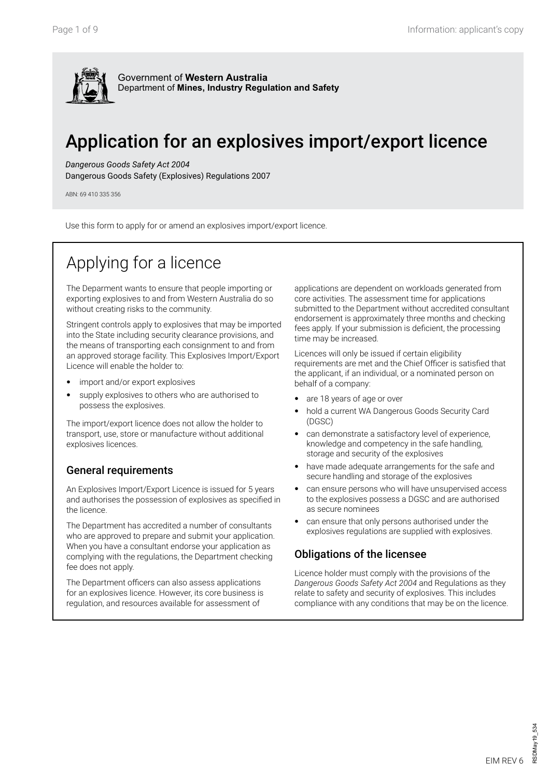

# Application for an explosives import/export licence

#### *Dangerous Goods Safety Act 2004*

Dangerous Goods Safety (Explosives) Regulations 2007

ABN: 69 410 335 356

Use this form to apply for or amend an explosives import/export licence.

# Applying for a licence

The Deparment wants to ensure that people importing or exporting explosives to and from Western Australia do so without creating risks to the community.

Stringent controls apply to explosives that may be imported into the State including security clearance provisions, and the means of transporting each consignment to and from an approved storage facility. This Explosives Import/Export Licence will enable the holder to:

- import and/or export explosives
- supply explosives to others who are authorised to possess the explosives.

The import/export licence does not allow the holder to transport, use, store or manufacture without additional explosives licences.

#### General requirements

An Explosives Import/Export Licence is issued for 5 years and authorises the possession of explosives as specified in the licence.

The Department has accredited a number of consultants who are approved to prepare and submit your application. When you have a consultant endorse your application as complying with the regulations, the Department checking fee does not apply.

The Department officers can also assess applications for an explosives licence. However, its core business is regulation, and resources available for assessment of

applications are dependent on workloads generated from core activities. The assessment time for applications submitted to the Department without accredited consultant endorsement is approximately three months and checking fees apply. If your submission is deficient, the processing time may be increased.

Licences will only be issued if certain eligibility requirements are met and the Chief Officer is satisfied that the applicant, if an individual, or a nominated person on behalf of a company:

- are 18 years of age or over
- hold a current WA Dangerous Goods Security Card (DGSC)
- can demonstrate a satisfactory level of experience, knowledge and competency in the safe handling, storage and security of the explosives
- have made adequate arrangements for the safe and secure handling and storage of the explosives
- can ensure persons who will have unsupervised access to the explosives possess a DGSC and are authorised as secure nominees
- can ensure that only persons authorised under the explosives regulations are supplied with explosives.

## Obligations of the licensee

Licence holder must comply with the provisions of the *Dangerous Goods Safety Act 2004* and Regulations as they relate to safety and security of explosives. This includes compliance with any conditions that may be on the licence.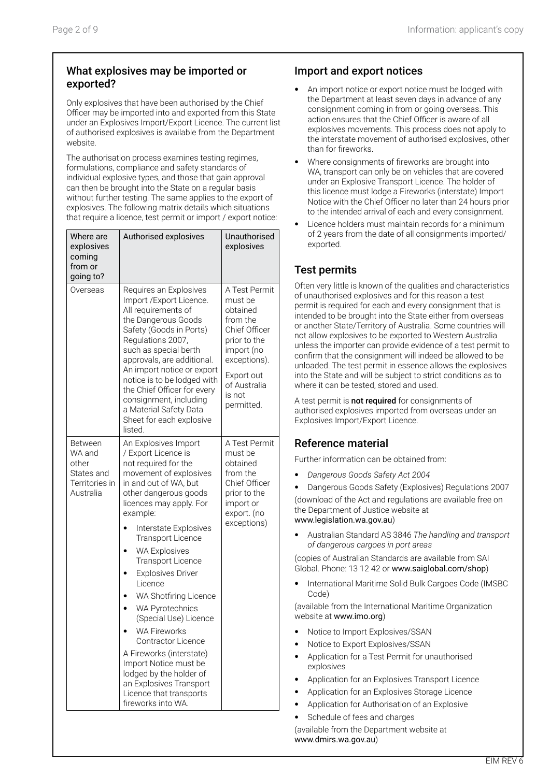## What explosives may be imported or exported?

Only explosives that have been authorised by the Chief Officer may be imported into and exported from this State under an Explosives Import/Export Licence. The current list of authorised explosives is available from the Department website.

The authorisation process examines testing regimes, formulations, compliance and safety standards of individual explosive types, and those that gain approval can then be brought into the State on a regular basis without further testing. The same applies to the export of explosives. The following matrix details which situations that require a licence, test permit or import / export notice:

| Where are<br>explosives<br>coming<br>from or<br>going to?               | Authorised explosives                                                                                                                                                                                                                                                                                                                                                                                                                                                                                                                                                                                                       | Unauthorised<br>explosives                                                                                                                                            |
|-------------------------------------------------------------------------|-----------------------------------------------------------------------------------------------------------------------------------------------------------------------------------------------------------------------------------------------------------------------------------------------------------------------------------------------------------------------------------------------------------------------------------------------------------------------------------------------------------------------------------------------------------------------------------------------------------------------------|-----------------------------------------------------------------------------------------------------------------------------------------------------------------------|
| Overseas                                                                | Requires an Explosives<br>Import / Export Licence.<br>All requirements of<br>the Dangerous Goods<br>Safety (Goods in Ports)<br>Regulations 2007,<br>such as special berth<br>approvals, are additional.<br>An import notice or export<br>notice is to be lodged with<br>the Chief Officer for every<br>consignment, including<br>a Material Safety Data<br>Sheet for each explosive<br>listed.                                                                                                                                                                                                                              | A Test Permit<br>must be<br>obtained<br>from the<br>Chief Officer<br>prior to the<br>import (no<br>exceptions).<br>Export out<br>of Australia<br>is not<br>permitted. |
| Between<br>WA and<br>other<br>States and<br>Territories in<br>Australia | An Explosives Import<br>/ Export Licence is<br>not required for the<br>movement of explosives<br>in and out of WA, but<br>other dangerous goods<br>licences may apply. For<br>example:<br>Interstate Explosives<br><b>Transport Licence</b><br><b>WA Explosives</b><br><b>Transport Licence</b><br><b>Explosives Driver</b><br>Licence<br>WA Shotfiring Licence<br><b>WA Pyrotechnics</b><br>(Special Use) Licence<br><b>WA Fireworks</b><br>Contractor Licence<br>A Fireworks (interstate)<br>Import Notice must be<br>lodged by the holder of<br>an Explosives Transport<br>Licence that transports<br>fireworks into WA. | A Test Permit<br>must be<br>obtained<br>from the<br>Chief Officer<br>prior to the<br>import or<br>export. (no<br>exceptions)                                          |

## Import and export notices

- An import notice or export notice must be lodged with the Department at least seven days in advance of any consignment coming in from or going overseas. This action ensures that the Chief Officer is aware of all explosives movements. This process does not apply to the interstate movement of authorised explosives, other than for fireworks.
- Where consignments of fireworks are brought into WA, transport can only be on vehicles that are covered under an Explosive Transport Licence. The holder of this licence must lodge a Fireworks (interstate) Import Notice with the Chief Officer no later than 24 hours prior to the intended arrival of each and every consignment.
- Licence holders must maintain records for a minimum of 2 years from the date of all consignments imported/ exported.

## Test permits

Often very little is known of the qualities and characteristics of unauthorised explosives and for this reason a test permit is required for each and every consignment that is intended to be brought into the State either from overseas or another State/Territory of Australia. Some countries will not allow explosives to be exported to Western Australia unless the importer can provide evidence of a test permit to confirm that the consignment will indeed be allowed to be unloaded. The test permit in essence allows the explosives into the State and will be subject to strict conditions as to where it can be tested, stored and used.

A test permit is **not required** for consignments of authorised explosives imported from overseas under an Explosives Import/Export Licence.

## Reference material

Further information can be obtained from:

- *Dangerous Goods Safety Act 2004*
- Dangerous Goods Safety (Explosives) Regulations 2007 (download of the Act and regulations are available free on the Department of Justice website at www.legislation.wa.gov.au)
- Australian Standard AS 3846 *The handling and transport of dangerous cargoes in port areas*

(copies of Australian Standards are available from SAI Global. Phone: 13 12 42 or www.saiglobal.com/shop)

• International Maritime Solid Bulk Cargoes Code (IMSBC Code)

(available from the International Maritime Organization website at www.imo.org)

- Notice to Import Explosives/SSAN
- Notice to Export Explosives/SSAN
- Application for a Test Permit for unauthorised explosives
- Application for an Explosives Transport Licence
- Application for an Explosives Storage Licence
- Application for Authorisation of an Explosive
- Schedule of fees and charges

(available from the Department website at www.dmirs.wa.gov.au)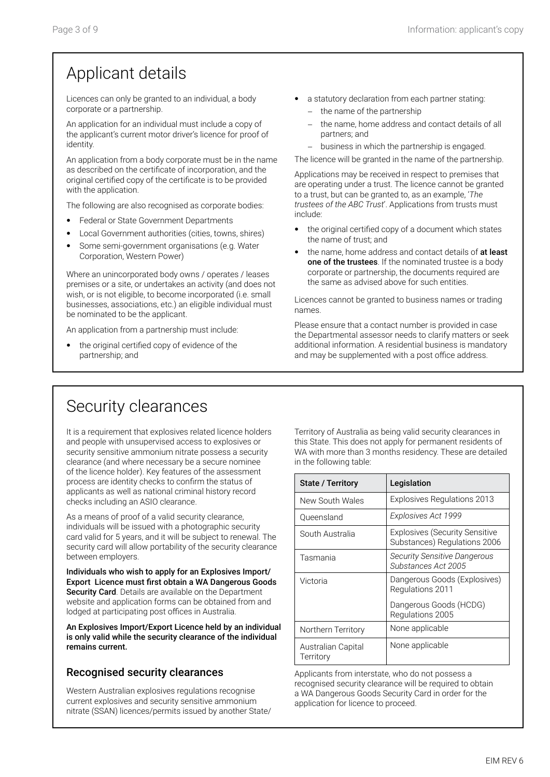## Applicant details

Licences can only be granted to an individual, a body corporate or a partnership.

An application for an individual must include a copy of the applicant's current motor driver's licence for proof of identity.

An application from a body corporate must be in the name as described on the certificate of incorporation, and the original certified copy of the certificate is to be provided with the application.

The following are also recognised as corporate bodies:

- Federal or State Government Departments
- Local Government authorities (cities, towns, shires)
- Some semi-government organisations (e.g. Water Corporation, Western Power)

Where an unincorporated body owns / operates / leases premises or a site, or undertakes an activity (and does not wish, or is not eligible, to become incorporated (i.e. small businesses, associations, etc.) an eligible individual must be nominated to be the applicant.

An application from a partnership must include:

the original certified copy of evidence of the partnership; and

- a statutory declaration from each partner stating: the name of the partnership
	- the name, home address and contact details of all
	- partners; and − business in which the partnership is engaged.

The licence will be granted in the name of the partnership.

Applications may be received in respect to premises that are operating under a trust. The licence cannot be granted to a trust, but can be granted to, as an example, '*The trustees of the ABC Trust*'. Applications from trusts must include:

- the original certified copy of a document which states the name of trust; and
- the name, home address and contact details of at least one of the trustees. If the nominated trustee is a body corporate or partnership, the documents required are the same as advised above for such entities.

Licences cannot be granted to business names or trading names.

Please ensure that a contact number is provided in case the Departmental assessor needs to clarify matters or seek additional information. A residential business is mandatory and may be supplemented with a post office address.

## Security clearances

It is a requirement that explosives related licence holders and people with unsupervised access to explosives or security sensitive ammonium nitrate possess a security clearance (and where necessary be a secure nominee of the licence holder). Key features of the assessment process are identity checks to confirm the status of applicants as well as national criminal history record checks including an ASIO clearance.

As a means of proof of a valid security clearance, individuals will be issued with a photographic security card valid for 5 years, and it will be subject to renewal. The security card will allow portability of the security clearance between employers.

Individuals who wish to apply for an Explosives Import/ Export Licence must first obtain a WA Dangerous Goods Security Card. Details are available on the Department website and application forms can be obtained from and lodged at participating post offices in Australia.

An Explosives Import/Export Licence held by an individual is only valid while the security clearance of the individual remains current.

## Recognised security clearances

Western Australian explosives regulations recognise current explosives and security sensitive ammonium nitrate (SSAN) licences/permits issued by another State/

Territory of Australia as being valid security clearances in this State. This does not apply for permanent residents of WA with more than 3 months residency. These are detailed in the following table:

| <b>State / Territory</b>        | Legislation                                                           |
|---------------------------------|-----------------------------------------------------------------------|
| New South Wales                 | <b>Explosives Regulations 2013</b>                                    |
| Oueensland                      | Explosives Act 1999                                                   |
| South Australia                 | <b>Explosives (Security Sensitive</b><br>Substances) Regulations 2006 |
| Tasmania                        | <b>Security Sensitive Dangerous</b><br>Substances Act 2005            |
| Victoria                        | Dangerous Goods (Explosives)<br>Regulations 2011                      |
|                                 | Dangerous Goods (HCDG)<br>Regulations 2005                            |
| Northern Territory              | None applicable                                                       |
| Australian Capital<br>Territory | None applicable                                                       |

Applicants from interstate, who do not possess a recognised security clearance will be required to obtain a WA Dangerous Goods Security Card in order for the application for licence to proceed.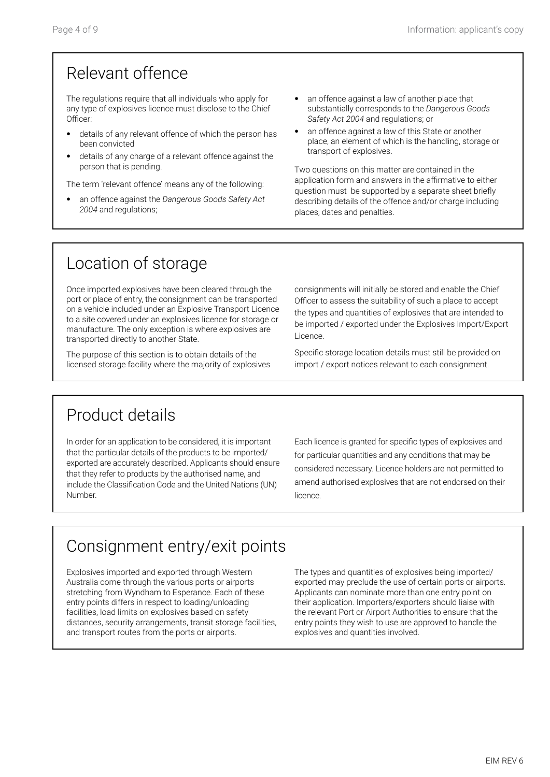## Relevant offence

The regulations require that all individuals who apply for any type of explosives licence must disclose to the Chief Officer:

- details of any relevant offence of which the person has been convicted
- details of any charge of a relevant offence against the person that is pending.

The term 'relevant offence' means any of the following:

- an offence against the *Dangerous Goods Safety Act 2004* and regulations;
- an offence against a law of another place that substantially corresponds to the *Dangerous Goods Safety Act 2004* and regulations; or
- an offence against a law of this State or another place, an element of which is the handling, storage or transport of explosives.

Two questions on this matter are contained in the application form and answers in the affirmative to either question must be supported by a separate sheet briefly describing details of the offence and/or charge including places, dates and penalties.

## Location of storage

Once imported explosives have been cleared through the port or place of entry, the consignment can be transported on a vehicle included under an Explosive Transport Licence to a site covered under an explosives licence for storage or manufacture. The only exception is where explosives are transported directly to another State.

The purpose of this section is to obtain details of the licensed storage facility where the majority of explosives consignments will initially be stored and enable the Chief Officer to assess the suitability of such a place to accept the types and quantities of explosives that are intended to be imported / exported under the Explosives Import/Export Licence.

Specific storage location details must still be provided on import / export notices relevant to each consignment.

## Product details

In order for an application to be considered, it is important that the particular details of the products to be imported/ exported are accurately described. Applicants should ensure that they refer to products by the authorised name, and include the Classification Code and the United Nations (UN) Number.

Each licence is granted for specific types of explosives and for particular quantities and any conditions that may be considered necessary. Licence holders are not permitted to amend authorised explosives that are not endorsed on their licence.

# Consignment entry/exit points

Explosives imported and exported through Western Australia come through the various ports or airports stretching from Wyndham to Esperance. Each of these entry points differs in respect to loading/unloading facilities, load limits on explosives based on safety distances, security arrangements, transit storage facilities, and transport routes from the ports or airports.

The types and quantities of explosives being imported/ exported may preclude the use of certain ports or airports. Applicants can nominate more than one entry point on their application. Importers/exporters should liaise with the relevant Port or Airport Authorities to ensure that the entry points they wish to use are approved to handle the explosives and quantities involved.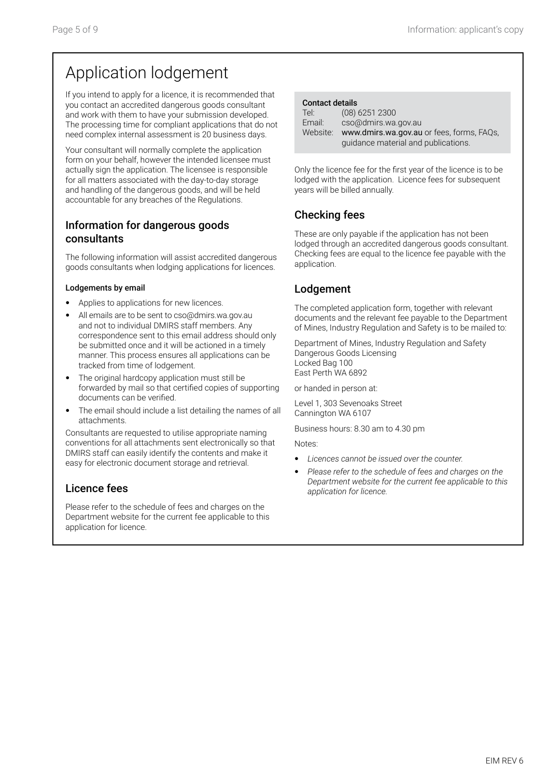# Application lodgement

If you intend to apply for a licence, it is recommended that you contact an accredited dangerous goods consultant and work with them to have your submission developed. The processing time for compliant applications that do not need complex internal assessment is 20 business days.

Your consultant will normally complete the application form on your behalf, however the intended licensee must actually sign the application. The licensee is responsible for all matters associated with the day-to-day storage and handling of the dangerous goods, and will be held accountable for any breaches of the Regulations.

#### Information for dangerous goods consultants

The following information will assist accredited dangerous goods consultants when lodging applications for licences.

#### Lodgements by email

- Applies to applications for new licences.
- All emails are to be sent to cso@dmirs.wa.gov.au and not to individual DMIRS staff members. Any correspondence sent to this email address should only be submitted once and it will be actioned in a timely manner. This process ensures all applications can be tracked from time of lodgement.
- The original hardcopy application must still be forwarded by mail so that certified copies of supporting documents can be verified.
- The email should include a list detailing the names of all attachments.

Consultants are requested to utilise appropriate naming conventions for all attachments sent electronically so that DMIRS staff can easily identify the contents and make it easy for electronic document storage and retrieval.

## Licence fees

Please refer to the schedule of fees and charges on the Department website for the current fee applicable to this application for licence.

| <b>Contact details</b> |                                                    |
|------------------------|----------------------------------------------------|
| Tel:                   | $(08)$ 6251 2300                                   |
| Email:                 | cso@dmirs.wa.gov.au                                |
|                        | Website: www.dmirs.wa.gov.au or fees, forms, FAQs, |
|                        | guidance material and publications.                |

Only the licence fee for the first year of the licence is to be lodged with the application. Licence fees for subsequent years will be billed annually.

## Checking fees

These are only payable if the application has not been lodged through an accredited dangerous goods consultant. Checking fees are equal to the licence fee payable with the application.

## Lodgement

The completed application form, together with relevant documents and the relevant fee payable to the Department of Mines, Industry Regulation and Safety is to be mailed to:

Department of Mines, Industry Regulation and Safety Dangerous Goods Licensing Locked Bag 100 East Perth WA 6892

or handed in person at:

Level 1, 303 Sevenoaks Street Cannington WA 6107

Business hours: 8.30 am to 4.30 pm

Notes:

- *Licences cannot be issued over the counter.*
- *Please refer to the schedule of fees and charges on the Department website for the current fee applicable to this application for licence.*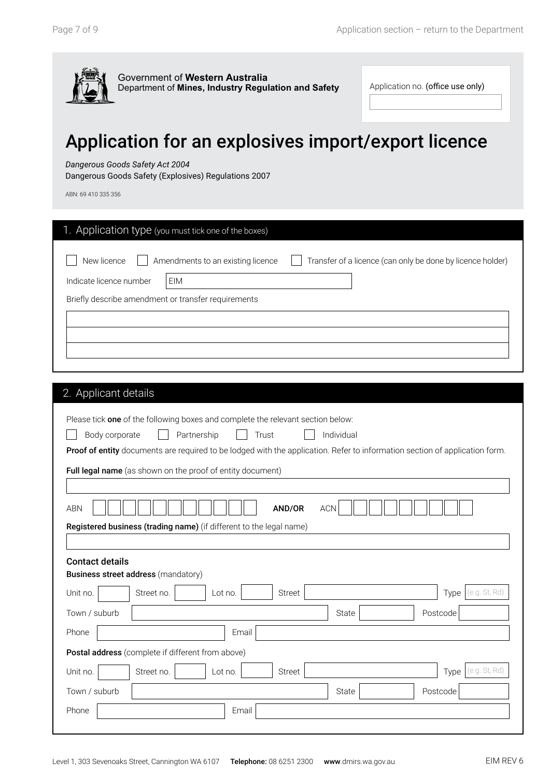

Application no. (office use only)

EIM

# Application for an explosives import/export licence

#### *Dangerous Goods Safety Act 2004*

Dangerous Goods Safety (Explosives) Regulations 2007

ABN: 69 410 335 356

| 1. Application type (you must tick one of the boxes) |                                                            |
|------------------------------------------------------|------------------------------------------------------------|
| New licence<br>Amendments to an existing licence     | Transfer of a licence (can only be done by licence holder) |
| EIM<br>Indicate licence number                       |                                                            |
| Briefly describe amendment or transfer requirements  |                                                            |
|                                                      |                                                            |
|                                                      |                                                            |
|                                                      |                                                            |

## 2. Applicant details

| Please tick one of the following boxes and complete the relevant section below:                                             |
|-----------------------------------------------------------------------------------------------------------------------------|
| Partnership<br>Individual<br>Body corporate<br>Trust                                                                        |
| Proof of entity documents are required to be lodged with the application. Refer to information section of application form. |
| Full legal name (as shown on the proof of entity document)                                                                  |
|                                                                                                                             |
| <b>ABN</b><br>AND/OR<br><b>ACN</b>                                                                                          |
| Registered business (trading name) (if different to the legal name)                                                         |
|                                                                                                                             |
| <b>Contact details</b>                                                                                                      |
| <b>Business street address (mandatory)</b>                                                                                  |
| (e.g. St, Rd)<br><b>Street</b><br>Unit no.<br>Street no.<br>Lot no.<br>Type                                                 |
| Postcode<br>Town / suburb<br>State                                                                                          |
| Phone<br>Email                                                                                                              |
| Postal address (complete if different from above)                                                                           |
| (e.g. St, Rd)<br>Unit no.<br>Street no.<br><b>Street</b><br>Type<br>Lot no.                                                 |
| Town / suburb<br>Postcode<br>State                                                                                          |
| Phone<br>Email                                                                                                              |
|                                                                                                                             |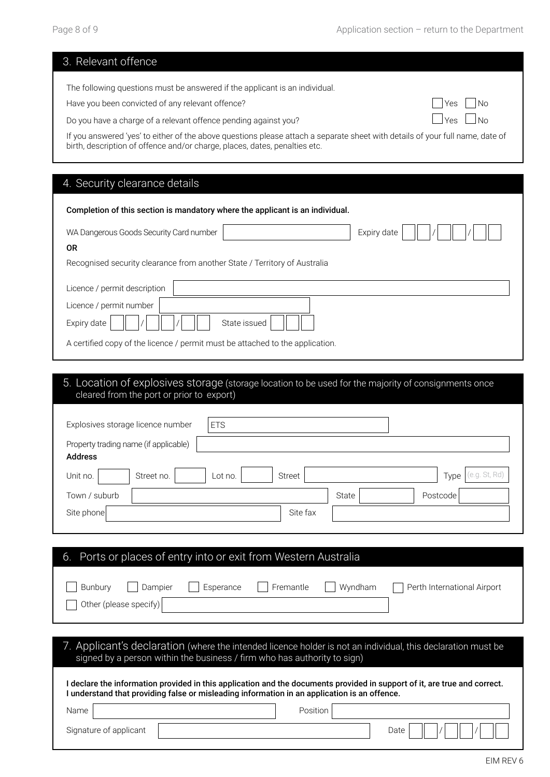| 3. Relevant offence                                                                                                                               |
|---------------------------------------------------------------------------------------------------------------------------------------------------|
| The following questions must be answered if the applicant is an individual.                                                                       |
| Have you been convicted of any relevant offence?<br>No<br>Yes                                                                                     |
| N <sub>0</sub><br>Do you have a charge of a relevant offence pending against you?<br>Yes                                                          |
| If you answered 'yes' to either of the above questions please attach a separate sheet with details of your full name, date of                     |
| birth, description of offence and/or charge, places, dates, penalties etc.                                                                        |
|                                                                                                                                                   |
| 4. Security clearance details                                                                                                                     |
| Completion of this section is mandatory where the applicant is an individual.                                                                     |
|                                                                                                                                                   |
| WA Dangerous Goods Security Card number<br>Expiry date<br><b>OR</b>                                                                               |
| Recognised security clearance from another State / Territory of Australia                                                                         |
|                                                                                                                                                   |
| Licence / permit description                                                                                                                      |
| Licence / permit number                                                                                                                           |
| Expiry date<br>State issued                                                                                                                       |
| A certified copy of the licence / permit must be attached to the application.                                                                     |
|                                                                                                                                                   |
| 5. Location of explosives storage (storage location to be used for the majority of consignments once<br>cleared from the port or prior to export) |
|                                                                                                                                                   |
| Explosives storage licence number<br><b>ETS</b>                                                                                                   |
| Property trading name (if applicable)                                                                                                             |

| <b>Address</b> |                                 |                       |
|----------------|---------------------------------|-----------------------|
| Unit no.       | Street<br>Street no.<br>Lot no. | (e.g. St, Rd)<br>Type |
| Town / suburb  |                                 | State<br>Postcode     |
| Site phone     | Site fax                        |                       |

| Ports or places of entry into or exit from Western Australia<br>6.                                                                                                                                                        |                                        |
|---------------------------------------------------------------------------------------------------------------------------------------------------------------------------------------------------------------------------|----------------------------------------|
| Esperance<br>Fremantle<br><b>Bunbury</b><br>Dampier<br>Other (please specify)                                                                                                                                             | Wyndham<br>Perth International Airport |
| 7. Applicant's declaration (where the intended licence holder is not an individual, this declaration must be<br>signed by a person within the business / firm who has authority to sign)                                  |                                        |
| I declare the information provided in this application and the documents provided in support of it, are true and correct.<br>I understand that providing false or misleading information in an application is an offence. |                                        |
| Name                                                                                                                                                                                                                      | Position                               |
| Signature of applicant                                                                                                                                                                                                    | Date                                   |